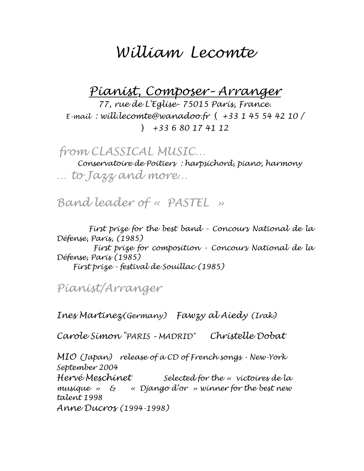# *William Lecomte*

*Pianist, Composer– Arranger*

*77, rue de L'Eglise- 75015 Paris, France. E-mail : will.lecomte@wanadoo.fr* ( *+33 1 45 54 42 10 /*  ) *+33 6 80 17 41 12*

*from CLASSICAL MUSIC…*

*Conservatoire de Poitiers : harpsichord, piano, harmony … to Jazz and more…*

*Band leader of « PASTEL »*

*First prize for the best band - Concours National de la Défense, Paris, (1985) First prize for composition - Concours National de la* 

*Défense, Paris (1985) First prize - festival de Souillac (1985)*

*Pianist/Arranger*

*Ines Martinez(Germany) Fawzy al Aiedy (Irak)* 

*Carole Simon "PARIS – MADRID" Christelle Dobat*

*MIO (Japan) release of a CD of French songs - New-York September 2004*

*Hervé Meschinet Selected for the « victoires de la musique » & « Django d'or » winner for the best new talent 1998* 

*Anne Ducros (1994-1998)*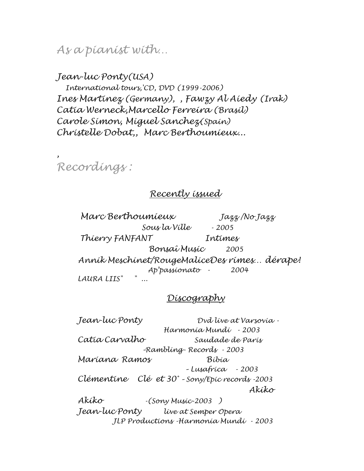*As a pianist with…*

*Jean-luc Ponty(USA) International tours,'CD, DVD (1999-2006) Ines Martinez (Germany), , Fawzy Al Aiedy (Irak) Catia Werneck,Marcello Ferreira (Brasil) Carole Simon, Miguel Sanchez(Spain) Christelle Dobat,, Marc Berthoumieux...*

*Recordings :*

*,*

### *Recently issued*

 *Marc Berthoumieux Jazz /No Jazz Sous la Ville - 2005 Thierry FANFANT Intimes Bonsaî Music 2005 Annik Meschinet/RougeMaliceDes rimes… dérape! Ap'passionato - 2004 LAURA LIIS" " ...*

#### *Discography*

*Jean-luc Ponty Dvd live at Varsovia - Harmonia Mundi - 2003 Catia Carvalho Saudade de Paris –Rambling- Records - 2003 Mariana Ramos Bibia – Lusafrica - 2003 Clémentine Clé et 30° – Sony/Epic records -2003 Akiko Akiko -(Sony Music-2003 ) Jean-luc Ponty live at Semper Opera JLP Productions -Harmonia Mundi - 2003*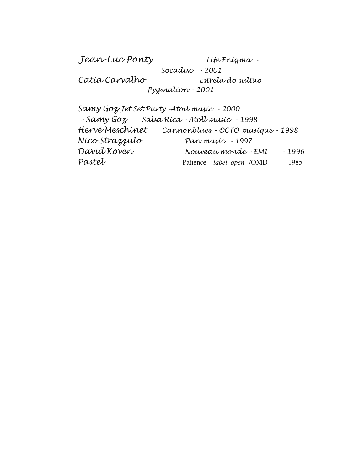*Jean-Luc Ponty Life Enigma - Socadisc - 2001 Catia Carvalho Estrela do sultao Pygmalion - 2001*

*Samy Goz Jet Set Party –Atoll music - 2000 – Samy Goz Salsa Rica – Atoll music - 1998 Hervé Meschinet Cannonblues – OCTO musique - 1998 Nico Strazzulo Pan music - 1997 David Koven Nouveau monde – EMI - 1996 Pastel* Patience – *label open* /OMD - 1985